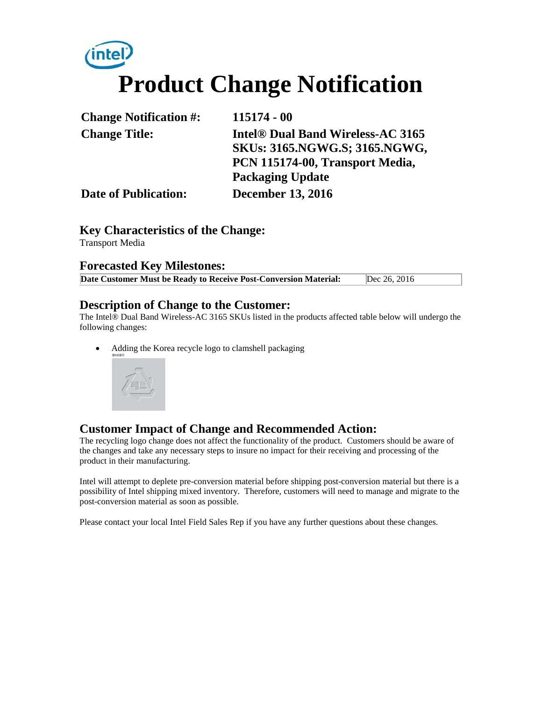# **Product Change Notification**

| <b>Change Notification #:</b> | 115174 - 00                              |  |
|-------------------------------|------------------------------------------|--|
| <b>Change Title:</b>          | <b>Intel® Dual Band Wireless-AC 3165</b> |  |
|                               | SKUs: 3165.NGWG.S; 3165.NGWG,            |  |
|                               | PCN 115174-00, Transport Media,          |  |
|                               | <b>Packaging Update</b>                  |  |
| <b>Date of Publication:</b>   | <b>December 13, 2016</b>                 |  |

#### **Key Characteristics of the Change:**

Transport Media

#### **Forecasted Key Milestones:**

| Date Customer Must be Ready to Receive Post-Conversion Material: | Dec 26, 2016 |  |
|------------------------------------------------------------------|--------------|--|
|------------------------------------------------------------------|--------------|--|

#### **Description of Change to the Customer:**

The Intel® Dual Band Wireless-AC 3165 SKUs listed in the products affected table below will undergo the following changes:

• Adding the Korea recycle logo to clamshell packaging



#### **Customer Impact of Change and Recommended Action:**

The recycling logo change does not affect the functionality of the product. Customers should be aware of the changes and take any necessary steps to insure no impact for their receiving and processing of the product in their manufacturing.

Intel will attempt to deplete pre-conversion material before shipping post-conversion material but there is a possibility of Intel shipping mixed inventory. Therefore, customers will need to manage and migrate to the post-conversion material as soon as possible.

Please contact your local Intel Field Sales Rep if you have any further questions about these changes.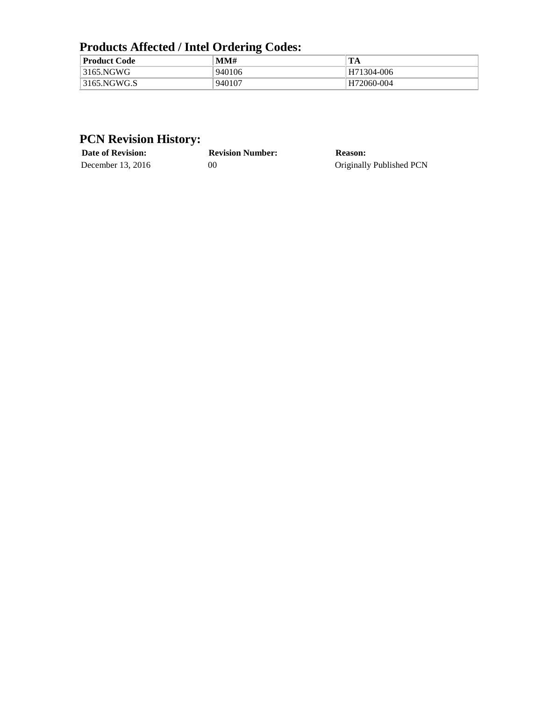## **Products Affected / Intel Ordering Codes:**

| <b>Product Code</b> | MMH      | TA         |
|---------------------|----------|------------|
| $13165$ .NGWG       | 940106   | H71304-006 |
| $\vert$ 3165.NGWG.S | . 940107 | H72060-004 |

## **PCN Revision History:**

| <b>Date of Revision:</b> | <b>Revision Number:</b> | Reason:                  |
|--------------------------|-------------------------|--------------------------|
| December $13, 2016$      | 00                      | Originally Published PCN |